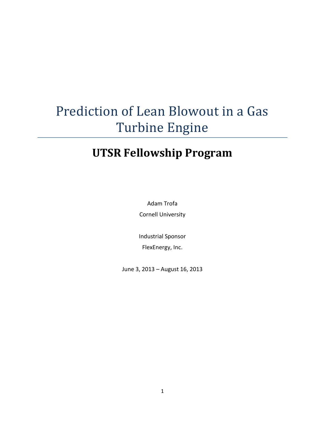# Prediction of Lean Blowout in a Gas Turbine Engine

# **UTSR Fellowship Program**

Adam Trofa Cornell University

Industrial Sponsor FlexEnergy, Inc.

June 3, 2013 – August 16, 2013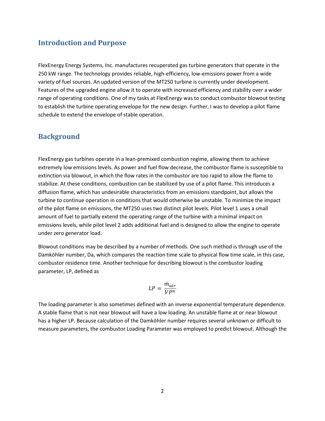#### **Introduction and Purpose**

FlexEnergy Energy Systems, Inc. manufactures recuperated gas turbine generators that operate in the 250 kW range. The technology provides reliable, high-efficiency, low-emissions power from a wide variety of fuel sources. An updated version of the MT250 turbine is currently under development. Features of the upgraded engine allow it to operate with increased efficiency and stability over a wider range of operating conditions. One of my tasks at FlexEnergy was to conduct combustor blowout testing to establish the turbine operating envelope for the new design. Further, I was to develop a pilot flame schedule to extend the envelope of stable operation.

### **Background**

FlexEnergy gas turbines operate in a lean-premixed combustion regime, allowing them to achieve extremely low emissions levels. As power and fuel flow decrease, the combustor flame is susceptible to extinction via blowout, in which the flow rates in the combustor are too rapid to allow the flame to stabilize. At these conditions, combustion can be stabilized by use of a pilot flame. This introduces a diffusion flame, which has undesirable characteristics from an emissions standpoint, but allows the turbine to continue operation in conditions that would otherwise be unstable. To minimize the impact of the pilot flame on emissions, the MT250 uses two distinct pilot levels. Pilot level 1 uses a small amount of fuel to partially extend the operating range of the turbine with a minimal impact on emissions levels, while pilot level 2 adds additional fuel and is designed to allow the engine to operate under zero generator load.

Blowout conditions may be described by a number of methods. One such method is through use of the Damköhler number, Da, which compares the reaction time scale to physical flow time scale, in this case, combustor residence time. Another technique for describing blowout is the combustor loading parameter, LP, defined as

$$
LP = \frac{\dot{m}_{air}}{VP^n}
$$

The loading parameter is also sometimes defined with an inverse exponential temperature dependence. A stable flame that is not near blowout will have a low loading. An unstable flame at or near blowout has a higher LP. Because calculation of the Damköhler number requires several unknown or difficult to measure parameters, the combustor Loading Parameter was employed to predict blowout. Although the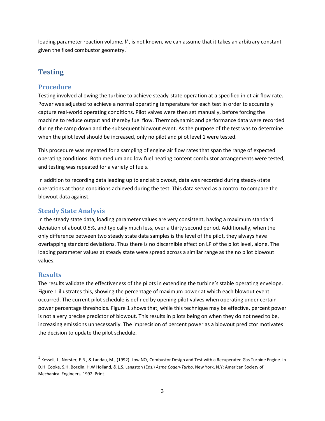loading parameter reaction volume,  $V$ , is not known, we can assume that it takes an arbitrary constant given the fixed combustor geometry.<sup>1</sup>

# **Testing**

### **Procedure**

Testing involved allowing the turbine to achieve steady-state operation at a specified inlet air flow rate. Power was adjusted to achieve a normal operating temperature for each test in order to accurately capture real-world operating conditions. Pilot valves were then set manually, before forcing the machine to reduce output and thereby fuel flow. Thermodynamic and performance data were recorded during the ramp down and the subsequent blowout event. As the purpose of the test was to determine when the pilot level should be increased, only no pilot and pilot level 1 were tested.

This procedure was repeated for a sampling of engine air flow rates that span the range of expected operating conditions. Both medium and low fuel heating content combustor arrangements were tested, and testing was repeated for a variety of fuels.

In addition to recording data leading up to and at blowout, data was recorded during steady-state operations at those conditions achieved during the test. This data served as a control to compare the blowout data against.

#### **Steady State Analysis**

In the steady state data, loading parameter values are very consistent, having a maximum standard deviation of about 0.5%, and typically much less, over a thirty second period. Additionally, when the only difference between two steady state data samples is the level of the pilot, they always have overlapping standard deviations. Thus there is no discernible effect on LP of the pilot level, alone. The loading parameter values at steady state were spread across a similar range as the no pilot blowout values.

#### **Results**

 $\overline{a}$ 

The results validate the effectiveness of the pilots in extending the turbine's stable operating envelope. [Figure 1](#page-3-0) illustrates this, showing the percentage of maximum power at which each blowout event occurred. The current pilot schedule is defined by opening pilot valves when operating under certain power percentage thresholds. [Figure 1](#page-3-0) shows that, while this technique may be effective, percent power is not a very precise predictor of blowout. This results in pilots being on when they do not need to be, increasing emissions unnecessarily. The imprecision of percent power as a blowout predictor motivates the decision to update the pilot schedule.

<sup>&</sup>lt;sup>1</sup> Kesseli, J., Norster, E.R., & Landau, M., (1992). Low NO<sub>x</sub> Combustor Design and Test with a Recuperated Gas Turbine Engine. In D.H. Cooke, S.H. Borglin, H.W Holland, & L.S. Langston (Eds.) *Asme Cogen-Turbo*. New York, N.Y: American Society of Mechanical Engineers, 1992. Print.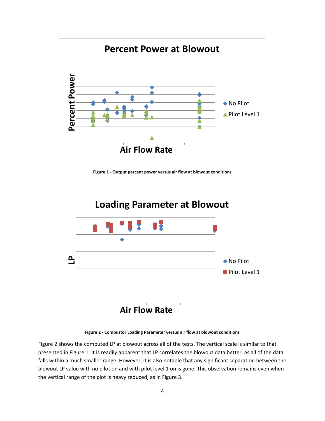

<span id="page-3-0"></span>**Figure 1 - Output percent power versus air flow at blowout conditions**



**Figure 2 - Combustor Loading Parameter versus air flow at blowout conditions**

<span id="page-3-1"></span>[Figure 2](#page-3-1) shows the computed LP at blowout across all of the tests. The vertical scale is similar to that presented in [Figure 1.](#page-3-0) It is readily apparent that LP correlates the blowout data better, as all of the data falls within a much smaller range. However, it is also notable that any significant separation between the blowout LP value with no pilot on and with pilot level 1 on is gone. This observation remains even when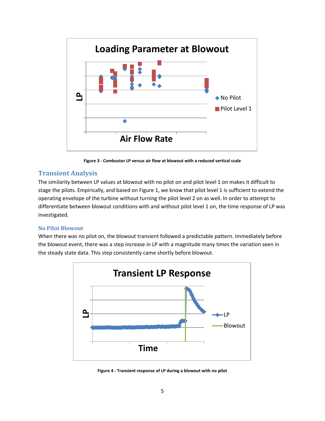

**Figure 3 - Combustor LP versus air flow at blowout with a reduced vertical scale**

#### <span id="page-4-0"></span>**Transient Analysis**

The similarity between LP values at blowout with no pilot on and pilot level 1 on makes it difficult to stage the pilots. Empirically, and based on [Figure 1,](#page-3-0) we know that pilot level 1 is sufficient to extend the operating envelope of the turbine without turning the pilot level 2 on as well. In order to attempt to differentiate between blowout conditions with and without pilot level 1 on, the time response of LP was investigated.

#### **No Pilot Blowout**

When there was no pilot on, the blowout transient followed a predictable pattern. Immediately before the blowout event, there was a step increase in LP with a magnitude many times the variation seen in the steady state data. This step consistently came shortly before blowout.



**Figure 4 - Transient response of LP during a blowout with no pilot**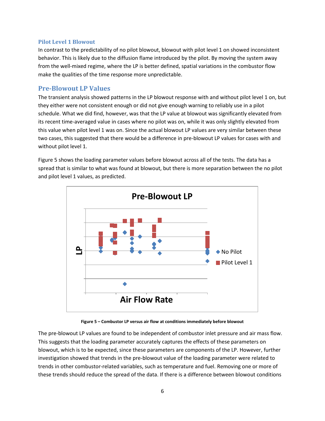#### **Pilot Level 1 Blowout**

In contrast to the predictability of no pilot blowout, blowout with pilot level 1 on showed inconsistent behavior. This is likely due to the diffusion flame introduced by the pilot. By moving the system away from the well-mixed regime, where the LP is better defined, spatial variations in the combustor flow make the qualities of the time response more unpredictable.

#### **Pre-Blowout LP Values**

The transient analysis showed patterns in the LP blowout response with and without pilot level 1 on, but they either were not consistent enough or did not give enough warning to reliably use in a pilot schedule. What we did find, however, was that the LP value at blowout was significantly elevated from its recent time-averaged value in cases where no pilot was on, while it was only slightly elevated from this value when pilot level 1 was on. Since the actual blowout LP values are very similar between these two cases, this suggested that there would be a difference in pre-blowout LP values for cases with and without pilot level 1.

[Figure 5](#page-5-0) shows the loading parameter values before blowout across all of the tests. The data has a spread that is similar to what was found at blowout, but there is more separation between the no pilot and pilot level 1 values, as predicted.



**Figure 5 – Combustor LP versus air flow at conditions immediately before blowout**

<span id="page-5-0"></span>The pre-blowout LP values are found to be independent of combustor inlet pressure and air mass flow. This suggests that the loading parameter accurately captures the effects of these parameters on blowout, which is to be expected, since these parameters are components of the LP. However, further investigation showed that trends in the pre-blowout value of the loading parameter were related to trends in other combustor-related variables, such as temperature and fuel. Removing one or more of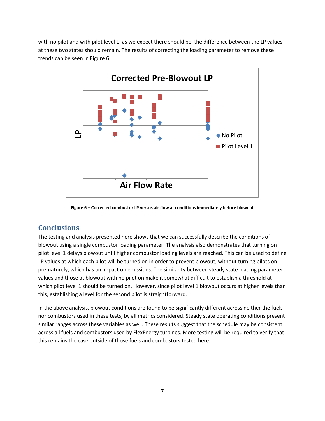with no pilot and with pilot level 1, as we expect there should be, the difference between the LP values at these two states should remain. The results of correcting the loading parameter to remove these trends can be seen i[n Figure 6.](#page-6-0)



**Figure 6 – Corrected combustor LP versus air flow at conditions immediately before blowout**

# <span id="page-6-0"></span>**Conclusions**

The testing and analysis presented here shows that we can successfully describe the conditions of blowout using a single combustor loading parameter. The analysis also demonstrates that turning on pilot level 1 delays blowout until higher combustor loading levels are reached. This can be used to define LP values at which each pilot will be turned on in order to prevent blowout, without turning pilots on prematurely, which has an impact on emissions. The similarity between steady state loading parameter values and those at blowout with no pilot on make it somewhat difficult to establish a threshold at which pilot level 1 should be turned on. However, since pilot level 1 blowout occurs at higher levels than this, establishing a level for the second pilot is straightforward.

In the above analysis, blowout conditions are found to be significantly different across neither the fuels nor combustors used in these tests, by all metrics considered. Steady state operating conditions present similar ranges across these variables as well. These results suggest that the schedule may be consistent across all fuels and combustors used by FlexEnergy turbines. More testing will be required to verify that